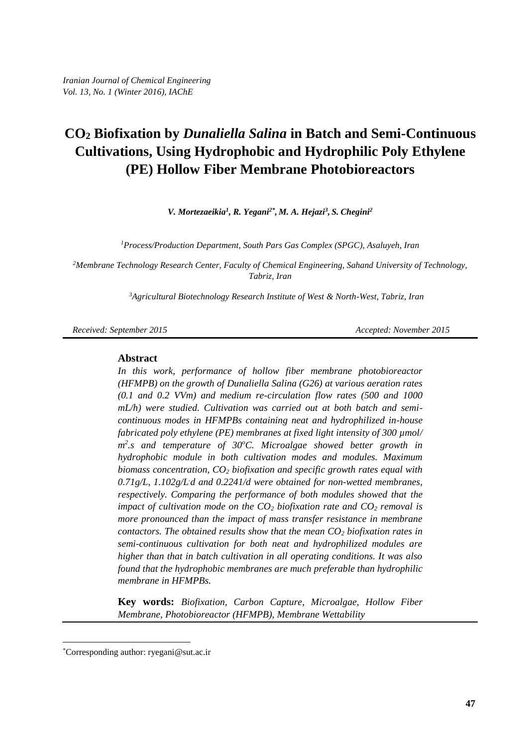*V. Mortezaeikia<sup>1</sup> , R. Yegani2\* , M. A. Hejazi<sup>3</sup> , S. Chegini<sup>2</sup>*

*<sup>1</sup>Process/Production Department, South Pars Gas Complex (SPGC), Asaluyeh, Iran*

*<sup>2</sup>Membrane Technology Research Center, Faculty of Chemical Engineering, Sahand University of Technology, Tabriz, Iran*

*<sup>3</sup>Agricultural Biotechnology Research Institute of West & North-West, Tabriz, Iran*

*Received: September 2015 Accepted: November 2015* 

#### **Abstract**

*In this work, performance of hollow fiber membrane photobioreactor (HFMPB) on the growth of Dunaliella Salina (G26) at various aeration rates (0.1 and 0.2 VVm) and medium re-circulation flow rates (500 and 1000 mL/h) were studied. Cultivation was carried out at both batch and semicontinuous modes in HFMPBs containing neat and hydrophilized in-house fabricated poly ethylene (PE) membranes at fixed light intensity of 300 µmol/* m<sup>2</sup>.s and temperature of 30°C. Microalgae showed better growth in *hydrophobic module in both cultivation modes and modules. Maximum biomass concentration, CO<sup>2</sup> biofixation and specific growth rates equal with*  0.71g/L, 1.102g/Ld and 0.2241/d were obtained for non-wetted membranes, *respectively. Comparing the performance of both modules showed that the impact of cultivation mode on the CO<sup>2</sup> biofixation rate and CO<sup>2</sup> removal is more pronounced than the impact of mass transfer resistance in membrane contactors. The obtained results show that the mean CO<sup>2</sup> biofixation rates in semi-continuous cultivation for both neat and hydrophilized modules are higher than that in batch cultivation in all operating conditions. It was also found that the hydrophobic membranes are much preferable than hydrophilic membrane in HFMPBs.*

**Key words:** *Biofixation, Carbon Capture, Microalgae, Hollow Fiber Membrane, Photobioreactor (HFMPB), Membrane Wettability*

 $\overline{a}$ 

<sup>\*</sup>Corresponding author: [ryegani@sut.ac.ir](mailto:ryegani@sut.ac.ir)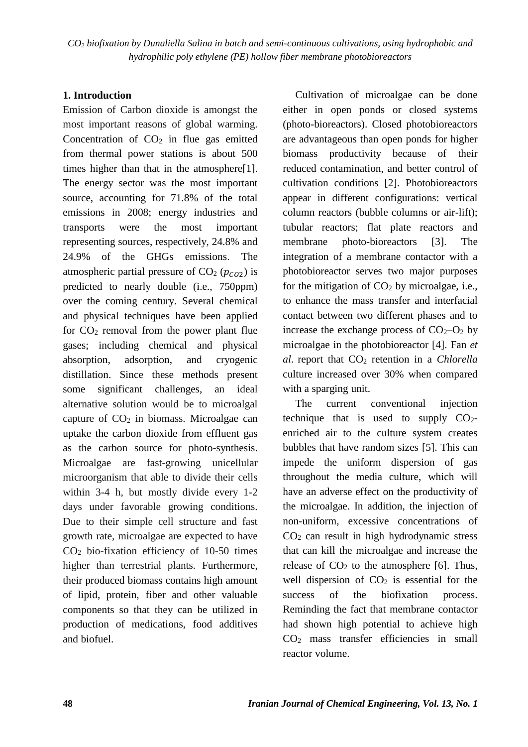### **1. Introduction**

Emission of Carbon dioxide is amongst the most important reasons of global warming. Concentration of  $CO<sub>2</sub>$  in flue gas emitted from thermal power stations is about 500 times higher than that in the atmosphere[1]. The energy sector was the most important source, accounting for 71.8% of the total emissions in 2008; energy industries and transports were the most important representing sources, respectively, 24.8% and 24.9% of the GHGs emissions. The atmospheric partial pressure of  $CO<sub>2</sub>$  ( $p<sub>CO<sub>2</sub></sub>$ ) is predicted to nearly double (i.e., 750ppm) over the coming century. Several chemical and physical techniques have been applied for  $CO<sub>2</sub>$  removal from the power plant flue gases; including chemical and physical absorption, adsorption, and cryogenic distillation. Since these methods present some significant challenges, an ideal alternative solution would be to microalgal capture of  $CO<sub>2</sub>$  in biomass. Microalgae can uptake the carbon dioxide from effluent gas as the carbon source for photo-synthesis. Microalgae are fast-growing unicellular microorganism that able to divide their cells within 3-4 h, but mostly divide every 1-2 days under favorable growing conditions. Due to their simple cell structure and fast growth rate, microalgae are expected to have CO<sup>2</sup> bio-fixation efficiency of 10-50 times higher than terrestrial plants. Furthermore, their produced biomass contains high amount of lipid, protein, fiber and other valuable components so that they can be utilized in production of medications, food additives and biofuel.

Cultivation of microalgae can be done either in open ponds or closed systems (photo-bioreactors). Closed photobioreactors are advantageous than open ponds for higher biomass productivity because of their reduced contamination, and better control of cultivation conditions [2]. Photobioreactors appear in different configurations: vertical column reactors (bubble columns or air-lift); tubular reactors; flat plate reactors and membrane photo-bioreactors [3]. The integration of a membrane contactor with a photobioreactor serves two major purposes for the mitigation of  $CO<sub>2</sub>$  by microalgae, i.e., to enhance the mass transfer and interfacial contact between two different phases and to increase the exchange process of  $CO<sub>2</sub>-O<sub>2</sub>$  by microalgae in the photobioreactor [4]. Fan *et al*. report that CO<sup>2</sup> retention in a *Chlorella* culture increased over 30% when compared with a sparging unit.

The current conventional injection technique that is used to supply  $CO<sub>2</sub>$ enriched air to the culture system creates bubbles that have random sizes [5]. This can impede the uniform dispersion of gas throughout the media culture, which will have an adverse effect on the productivity of the microalgae. In addition, the injection of non-uniform, excessive concentrations of CO<sup>2</sup> can result in high hydrodynamic stress that can kill the microalgae and increase the release of  $CO<sub>2</sub>$  to the atmosphere [6]. Thus, well dispersion of  $CO<sub>2</sub>$  is essential for the success of the biofixation process. Reminding the fact that membrane contactor had shown high potential to achieve high CO<sup>2</sup> mass transfer efficiencies in small reactor volume.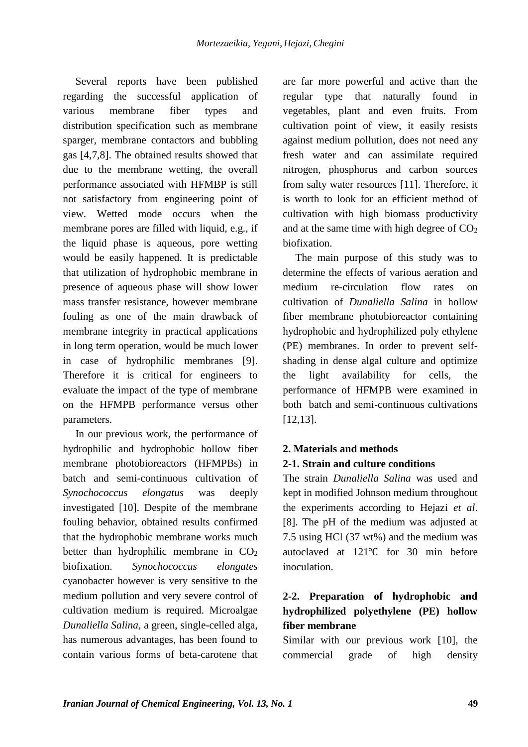Several reports have been published regarding the successful application of various membrane fiber types and distribution specification such as membrane sparger, membrane contactors and bubbling gas [4,7,8]. The obtained results showed that due to the membrane wetting, the overall performance associated with HFMBP is still not satisfactory from engineering point of view. Wetted mode occurs when the membrane pores are filled with liquid, e.g., if the liquid phase is aqueous, pore wetting would be easily happened. It is predictable that utilization of hydrophobic membrane in presence of aqueous phase will show lower mass transfer resistance, however membrane fouling as one of the main drawback of membrane integrity in practical applications in long term operation, would be much lower in case of hydrophilic membranes [9]. Therefore it is critical for engineers to evaluate the impact of the type of membrane on the HFMPB performance versus other parameters.

In our previous work, the performance of hydrophilic and hydrophobic hollow fiber membrane photobioreactors (HFMPBs) in batch and semi-continuous cultivation of *Synochococcus elongatus* was deeply investigated [10]. Despite of the membrane fouling behavior, obtained results confirmed that the hydrophobic membrane works much better than hydrophilic membrane in  $CO<sub>2</sub>$ biofixation. *Synochococcus elongates*  cyanobacter however is very sensitive to the medium pollution and very severe control of cultivation medium is required. Microalgae *Dunaliella Salina*, a green, single-celled alga, has numerous advantages, has been found to contain various forms of beta-carotene that are far more powerful and active than the regular type that naturally found in vegetables, plant and even fruits. From cultivation point of view, it easily resists against medium pollution, does not need any fresh water and can assimilate required nitrogen, phosphorus and carbon sources from salty water resources [11]. Therefore, it is worth to look for an efficient method of cultivation with high biomass productivity and at the same time with high degree of  $CO<sub>2</sub>$ biofixation.

The main purpose of this study was to determine the effects of various aeration and medium re-circulation flow rates on cultivation of *Dunaliella Salina* in hollow fiber membrane photobioreactor containing hydrophobic and hydrophilized poly ethylene (PE) membranes. In order to prevent selfshading in dense algal culture and optimize the light availability for cells, the performance of HFMPB were examined in both batch and semi-continuous cultivations [12,13].

### **2. Materials and methods 2-1. Strain and culture conditions**

The strain *Dunaliella Salina* was used and kept in modified Johnson medium throughout the experiments according to Hejazi *et al*. [8]. The pH of the medium was adjusted at 7.5 using HCl (37 wt%) and the medium was autoclaved at 121℃ for 30 min before inoculation.

### **2-2. Preparation of hydrophobic and hydrophilized polyethylene (PE) hollow fiber membrane**

Similar with our previous work [10], the commercial grade of high density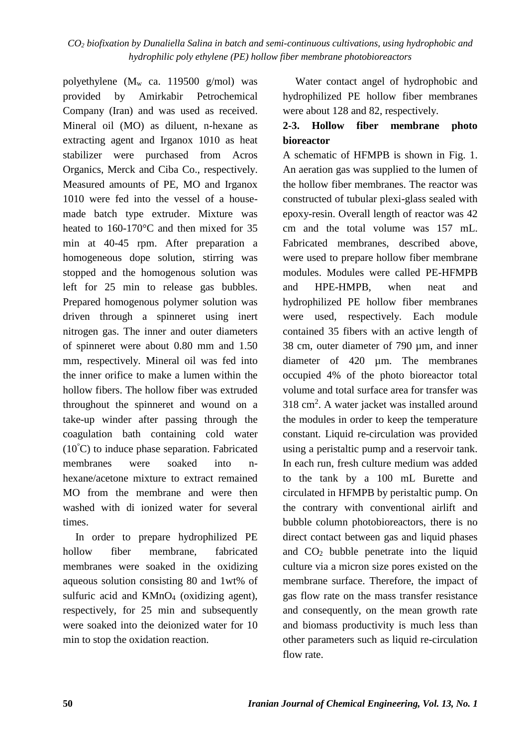polyethylene (M<sup>w</sup> ca. 119500 g/mol) was provided by Amirkabir Petrochemical Company (Iran) and was used as received. Mineral oil (MO) as diluent, n-hexane as extracting agent and Irganox 1010 as heat stabilizer were purchased from Acros Organics, Merck and Ciba Co., respectively. Measured amounts of PE, MO and Irganox 1010 were fed into the vessel of a housemade batch type extruder. Mixture was heated to 160-170°C and then mixed for 35 min at 40-45 rpm. After preparation a homogeneous dope solution, stirring was stopped and the homogenous solution was left for 25 min to release gas bubbles. Prepared homogenous polymer solution was driven through a spinneret using inert nitrogen gas. The inner and outer diameters of spinneret were about 0.80 mm and 1.50 mm, respectively. Mineral oil was fed into the inner orifice to make a lumen within the hollow fibers. The hollow fiber was extruded throughout the spinneret and wound on a take-up winder after passing through the coagulation bath containing cold water  $(10^{\circ}$ C) to induce phase separation. Fabricated membranes were soaked into nhexane/acetone mixture to extract remained MO from the membrane and were then washed with di ionized water for several times.

In order to prepare hydrophilized PE hollow fiber membrane, fabricated membranes were soaked in the oxidizing aqueous solution consisting 80 and 1wt% of sulfuric acid and KMnO<sub>4</sub> (oxidizing agent), respectively, for 25 min and subsequently were soaked into the deionized water for 10 min to stop the oxidation reaction.

Water contact angel of hydrophobic and hydrophilized PE hollow fiber membranes were about 128 and 82, respectively.

### **2-3. Hollow fiber membrane photo bioreactor**

A schematic of HFMPB is shown in Fig. 1. An aeration gas was supplied to the lumen of the hollow fiber membranes. The reactor was constructed of tubular plexi-glass sealed with epoxy-resin. Overall length of reactor was 42 cm and the total volume was 157 mL. Fabricated membranes, described above, were used to prepare hollow fiber membrane modules. Modules were called PE-HFMPB and HPE-HMPB, when neat and hydrophilized PE hollow fiber membranes were used, respectively. Each module contained 35 fibers with an active length of 38 cm, outer diameter of 790 µm, and inner diameter of 420 µm. The membranes occupied 4% of the photo bioreactor total volume and total surface area for transfer was 318 cm<sup>2</sup> . A water jacket was installed around the modules in order to keep the temperature constant. Liquid re-circulation was provided using a peristaltic pump and a reservoir tank. In each run, fresh culture medium was added to the tank by a 100 mL Burette and circulated in HFMPB by peristaltic pump. On the contrary with conventional airlift and bubble column photobioreactors, there is no direct contact between gas and liquid phases and  $CO<sub>2</sub>$  bubble penetrate into the liquid culture via a micron size pores existed on the membrane surface. Therefore, the impact of gas flow rate on the mass transfer resistance and consequently, on the mean growth rate and biomass productivity is much less than other parameters such as liquid re-circulation flow rate.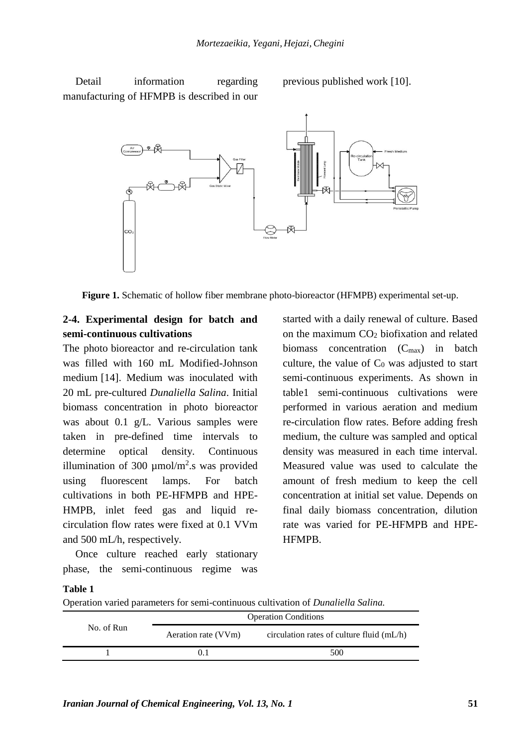Detail information regarding manufacturing of HFMPB is described in our previous published work [10].



**Figure 1.** Schematic of hollow fiber membrane photo-bioreactor (HFMPB) experimental set-up.

### **2-4. Experimental design for batch and semi-continuous cultivations**

The photo bioreactor and re-circulation tank was filled with 160 mL Modified-Johnson medium [14]. Medium was inoculated with 20 mL pre-cultured *Dunaliella Salina*. Initial biomass concentration in photo bioreactor was about 0.1 g/L. Various samples were taken in pre-defined time intervals to determine optical density. Continuous illumination of 300  $\mu$ mol/m<sup>2</sup>.s was provided using fluorescent lamps. For batch cultivations in both PE-HFMPB and HPE-HMPB, inlet feed gas and liquid recirculation flow rates were fixed at 0.1 VVm and 500 mL/h, respectively.

Once culture reached early stationary phase, the semi-continuous regime was

started with a daily renewal of culture. Based on the maximum  $CO<sub>2</sub>$  biofixation and related biomass concentration  $(C_{\text{max}})$  in batch culture, the value of  $C_0$  was adjusted to start semi-continuous experiments. As shown in table1 semi-continuous cultivations were performed in various aeration and medium re-circulation flow rates. Before adding fresh medium, the culture was sampled and optical density was measured in each time interval. Measured value was used to calculate the amount of fresh medium to keep the cell concentration at initial set value. Depends on final daily biomass concentration, dilution rate was varied for PE-HFMPB and HPE-HFMPB.

#### **Table 1**

Operation varied parameters for semi-continuous cultivation of *Dunaliella Salina.*

| No. of Run | <b>Operation Conditions</b> |                                             |  |
|------------|-----------------------------|---------------------------------------------|--|
|            | Aeration rate (VVm)         | circulation rates of culture fluid $(mL/h)$ |  |
|            |                             | 500                                         |  |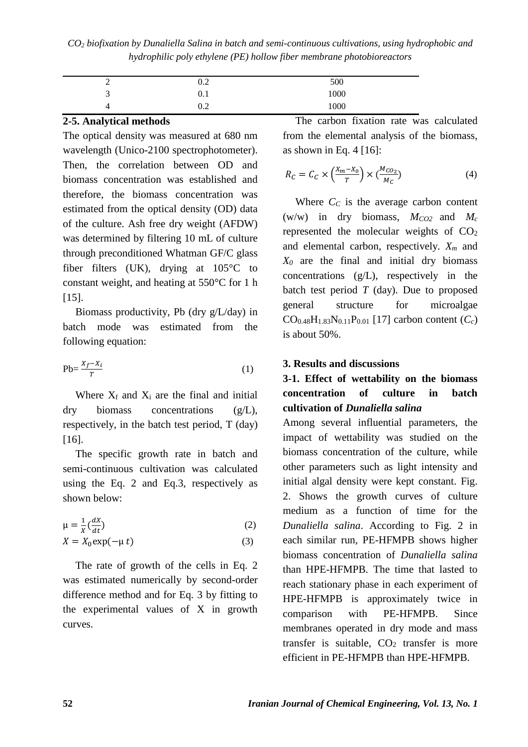| ↗<br>- | $0.2\,$ | 500  |  |
|--------|---------|------|--|
| ∽<br>J | U.I     | 1000 |  |
|        | $0.2\,$ | 1000 |  |

#### **2-5. Analytical methods**

The optical density was measured at 680 nm wavelength (Unico-2100 spectrophotometer). Then, the correlation between OD and biomass concentration was established and therefore, the biomass concentration was estimated from the optical density (OD) data of the culture. Ash free dry weight (AFDW) was determined by filtering 10 mL of culture through preconditioned Whatman GF/C glass fiber filters (UK), drying at 105°C to constant weight, and heating at 550°C for 1 h [15].

Biomass productivity, Pb (dry g/L/day) in batch mode was estimated from the following equation:

$$
Pb = \frac{X_f - X_i}{T}
$$
 (1)

Where  $X_f$  and  $X_i$  are the final and initial dry biomass concentrations (g/L), respectively, in the batch test period, T (day) [16].

The specific growth rate in batch and semi-continuous cultivation was calculated using the Eq. 2 and Eq.3, respectively as shown below:

$$
\mu = \frac{1}{x} \left( \frac{dX}{dt} \right) \tag{2}
$$
\n
$$
X = X_0 \exp(-\mu t) \tag{3}
$$

The rate of growth of the cells in Eq. 2 was estimated numerically by second-order difference method and for Eq. 3 by fitting to the experimental values of X in growth curves.

The carbon fixation rate was calculated from the elemental analysis of the biomass, as shown in Eq. 4  $[16]$ :

$$
R_C = C_C \times \left(\frac{X_m - X_0}{T}\right) \times \left(\frac{M_{CO_2}}{M_C}\right) \tag{4}
$$

Where  $C_C$  is the average carbon content (w/w) in dry biomass,  $M_{CO2}$  and  $M_c$ represented the molecular weights of  $CO<sub>2</sub>$ and elemental carbon, respectively. *X<sup>m</sup>* and *X<sup>0</sup>* are the final and initial dry biomass concentrations (g/L), respectively in the batch test period  $T$  (day). Due to proposed general structure for microalgae  $CO_{0.48}H_{1.83}N_{0.11}P_{0.01}$  [17] carbon content  $(C_c)$ is about 50%.

### **3. Results and discussions**

### **3-1. Effect of wettability on the biomass concentration of culture in batch cultivation of** *Dunaliella salina*

Among several influential parameters, the impact of wettability was studied on the biomass concentration of the culture, while other parameters such as light intensity and initial algal density were kept constant. Fig. 2. Shows the growth curves of culture medium as a function of time for the *Dunaliella salina*. According to Fig. 2 in each similar run, PE-HFMPB shows higher biomass concentration of *Dunaliella salina*  than HPE-HFMPB. The time that lasted to reach stationary phase in each experiment of HPE-HFMPB is approximately twice in comparison with PE-HFMPB. Since membranes operated in dry mode and mass transfer is suitable,  $CO<sub>2</sub>$  transfer is more efficient in PE-HFMPB than HPE-HFMPB.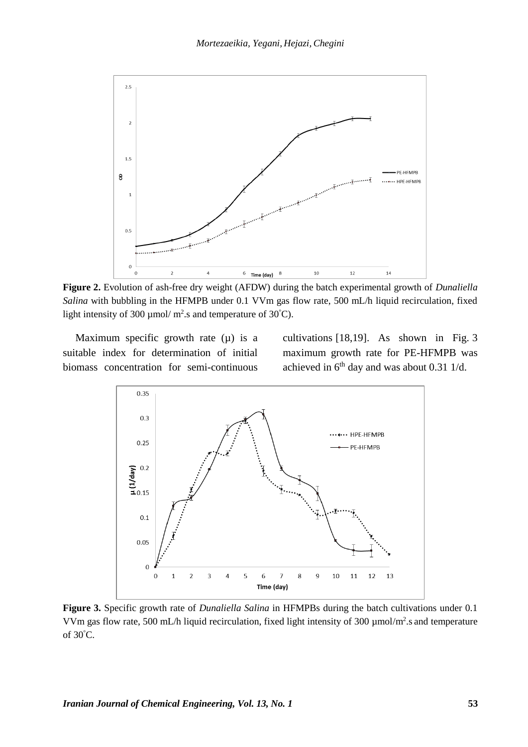

**Figure 2.** Evolution of ash-free dry weight (AFDW) during the batch experimental growth of *Dunaliella Salina* with bubbling in the HFMPB under 0.1 VVm gas flow rate, 500 mL/h liquid recirculation, fixed light intensity of 300  $\mu$ mol/m<sup>2</sup>.s and temperature of 30°C).

Maximum specific growth rate  $(\mu)$  is a suitable index for determination of initial biomass concentration for semi-continuous

cultivations [18,19]. As shown in Fig. 3 maximum growth rate for PE-HFMPB was achieved in  $6<sup>th</sup>$  day and was about 0.31 1/d.



**Figure 3.** Specific growth rate of *Dunaliella Salina* in HFMPBs during the batch cultivations under 0.1 VVm gas flow rate, 500 mL/h liquid recirculation, fixed light intensity of 300 µmol/m<sup>2</sup>.s and temperature of 30°C.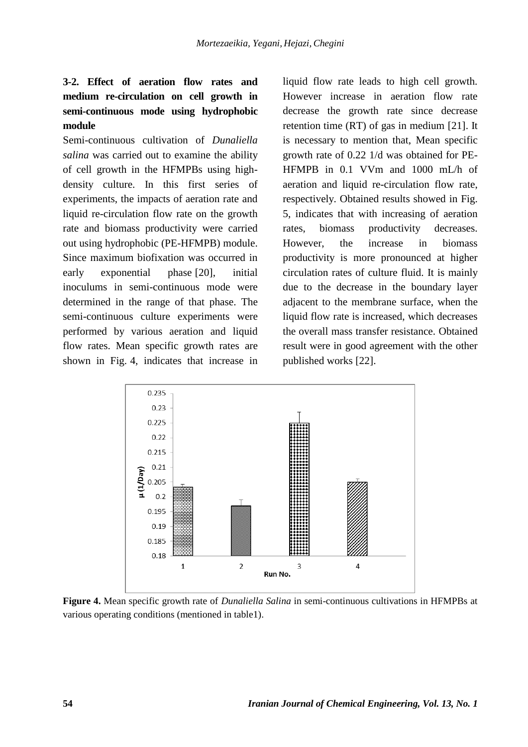### **3-2. Effect of aeration flow rates and medium re-circulation on cell growth in semi-continuous mode using hydrophobic module**

Semi-continuous cultivation of *Dunaliella salina* was carried out to examine the ability of cell growth in the HFMPBs using highdensity culture. In this first series of experiments, the impacts of aeration rate and liquid re-circulation flow rate on the growth rate and biomass productivity were carried out using hydrophobic (PE-HFMPB) module. Since maximum biofixation was occurred in early exponential phase [20], initial inoculums in semi-continuous mode were determined in the range of that phase. The semi-continuous culture experiments were performed by various aeration and liquid flow rates. Mean specific growth rates are shown in Fig. 4, indicates that increase in

liquid flow rate leads to high cell growth. However increase in aeration flow rate decrease the growth rate since decrease retention time (RT) of gas in medium [21]. It is necessary to mention that, Mean specific growth rate of 0.22 1/d was obtained for PE-HFMPB in 0.1 VVm and 1000 mL/h of aeration and liquid re-circulation flow rate, respectively. Obtained results showed in Fig. 5, indicates that with increasing of aeration rates, biomass productivity decreases. However, the increase in biomass productivity is more pronounced at higher circulation rates of culture fluid. It is mainly due to the decrease in the boundary layer adjacent to the membrane surface, when the liquid flow rate is increased, which decreases the overall mass transfer resistance. Obtained result were in good agreement with the other published works [22].



**Figure 4.** Mean specific growth rate of *Dunaliella Salina* in semi-continuous cultivations in HFMPBs at various operating conditions (mentioned in table1).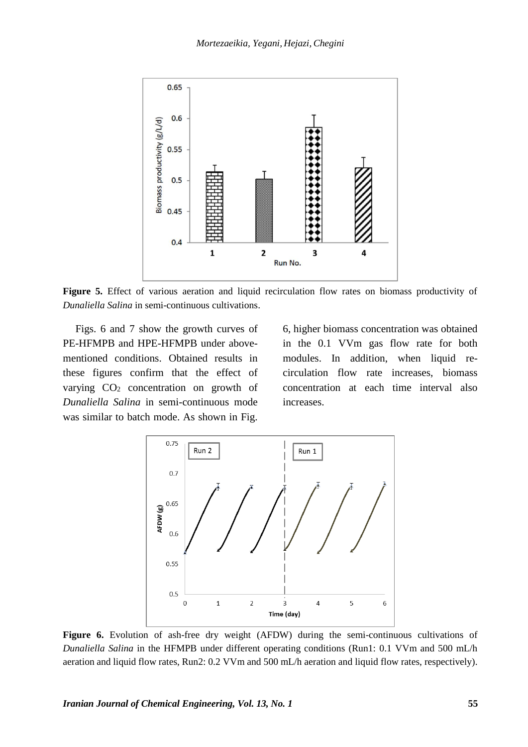

**Figure 5.** Effect of various aeration and liquid recirculation flow rates on biomass productivity of *Dunaliella Salina* in semi-continuous cultivations.

Figs. 6 and 7 show the growth curves of PE-HFMPB and HPE-HFMPB under abovementioned conditions. Obtained results in these figures confirm that the effect of varying  $CO<sub>2</sub>$  concentration on growth of *Dunaliella Salina* in semi-continuous mode was similar to batch mode. As shown in Fig.

6, higher biomass concentration was obtained in the 0.1 VVm gas flow rate for both modules. In addition, when liquid recirculation flow rate increases, biomass concentration at each time interval also increases.



Figure 6. Evolution of ash-free dry weight (AFDW) during the semi-continuous cultivations of *Dunaliella Salina* in the HFMPB under different operating conditions (Run1: 0.1 VVm and 500 mL/h aeration and liquid flow rates, Run2: 0.2 VVm and 500 mL/h aeration and liquid flow rates, respectively).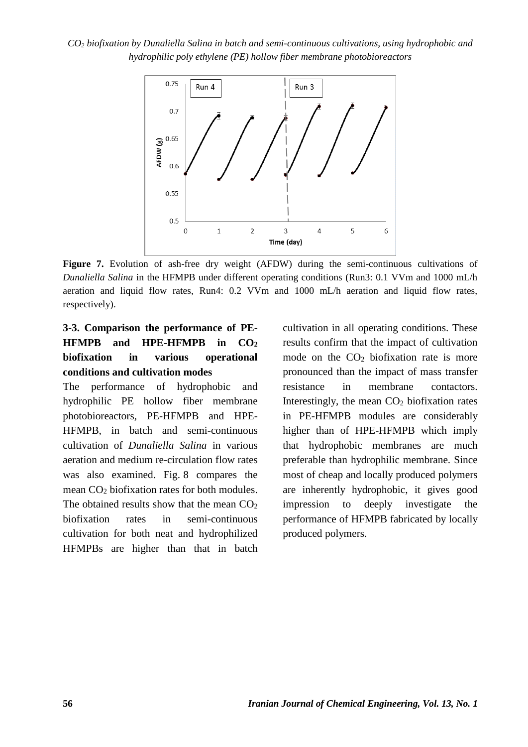

**Figure 7.** Evolution of ash-free dry weight (AFDW) during the semi-continuous cultivations of *Dunaliella Salina* in the HFMPB under different operating conditions (Run3: 0.1 VVm and 1000 mL/h aeration and liquid flow rates, Run4: 0.2 VVm and 1000 mL/h aeration and liquid flow rates, respectively).

## **3-3. Comparison the performance of PE-HFMPB and HPE-HFMPB in CO<sup>2</sup> biofixation in various operational conditions and cultivation modes**

The performance of hydrophobic and hydrophilic PE hollow fiber membrane photobioreactors, PE-HFMPB and HPE-HFMPB, in batch and semi-continuous cultivation of *Dunaliella Salina* in various aeration and medium re-circulation flow rates was also examined. Fig. 8 compares the mean CO<sup>2</sup> biofixation rates for both modules. The obtained results show that the mean  $CO<sub>2</sub>$ biofixation rates in semi-continuous cultivation for both neat and hydrophilized HFMPBs are higher than that in batch

cultivation in all operating conditions. These results confirm that the impact of cultivation mode on the  $CO<sub>2</sub>$  biofixation rate is more pronounced than the impact of mass transfer resistance in membrane contactors. Interestingly, the mean  $CO<sub>2</sub>$  biofixation rates in PE-HFMPB modules are considerably higher than of HPE-HFMPB which imply that hydrophobic membranes are much preferable than hydrophilic membrane. Since most of cheap and locally produced polymers are inherently hydrophobic, it gives good impression to deeply investigate the performance of HFMPB fabricated by locally produced polymers.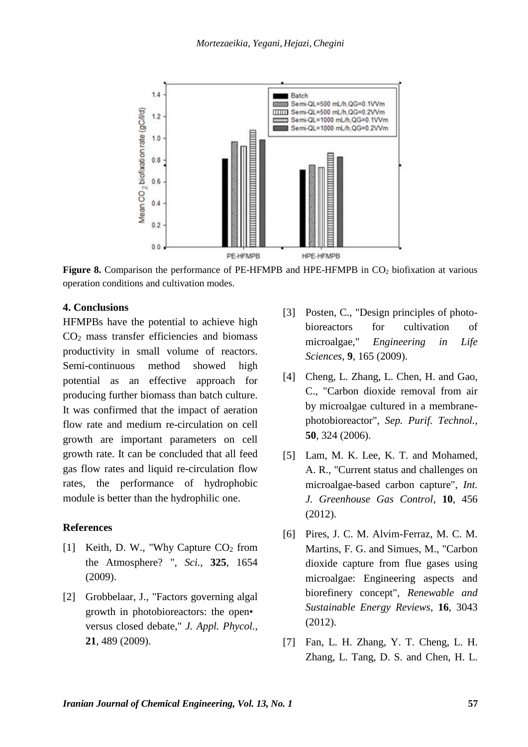

Figure 8. Comparison the performance of PE-HFMPB and HPE-HFMPB in CO<sub>2</sub> biofixation at various operation conditions and cultivation modes.

#### **4. Conclusions**

HFMPBs have the potential to achieve high  $CO<sub>2</sub>$  mass transfer efficiencies and biomass productivity in small volume of reactors. Semi-continuous method showed high potential as an effective approach for producing further biomass than batch culture. It was confirmed that the impact of aeration flow rate and medium re-circulation on cell growth are important parameters on cell growth rate. It can be concluded that all feed gas flow rates and liquid re-circulation flow rates, the performance of hydrophobic module is better than the hydrophilic one.

#### **References**

- [1] Keith, D. W., "Why Capture CO<sub>2</sub> from the Atmosphere? ", *Sci.*, **325**, 1654 (2009).
- [2] Grobbelaar, J., "Factors governing algal growth in photobioreactors: the open• versus closed debate," *J. Appl. Phycol.*, **21**, 489 (2009).
- [3] Posten, C., "Design principles of photobioreactors for cultivation of microalgae," *Engineering in Life Sciences*, **9**, 165 (2009).
- [4] Cheng, L. Zhang, L. Chen, H. and Gao, C., "Carbon dioxide removal from air by microalgae cultured in a membranephotobioreactor", *Sep. Purif. Technol.*, **50**, 324 (2006).
- [5] Lam, M. K. Lee, K. T. and Mohamed, A. R., "Current status and challenges on microalgae-based carbon capture", *Int. J. Greenhouse Gas Control*, **10**, 456 (2012).
- [6] Pires, J. C. M. Alvim-Ferraz, M. C. M. Martins, F. G. and Simues, M., "Carbon dioxide capture from flue gases using microalgae: Engineering aspects and biorefinery concept", *Renewable and Sustainable Energy Reviews*, **16**, 3043 (2012).
- [7] Fan, L. H. Zhang, Y. T. Cheng, L. H. Zhang, L. Tang, D. S. and Chen, H. L.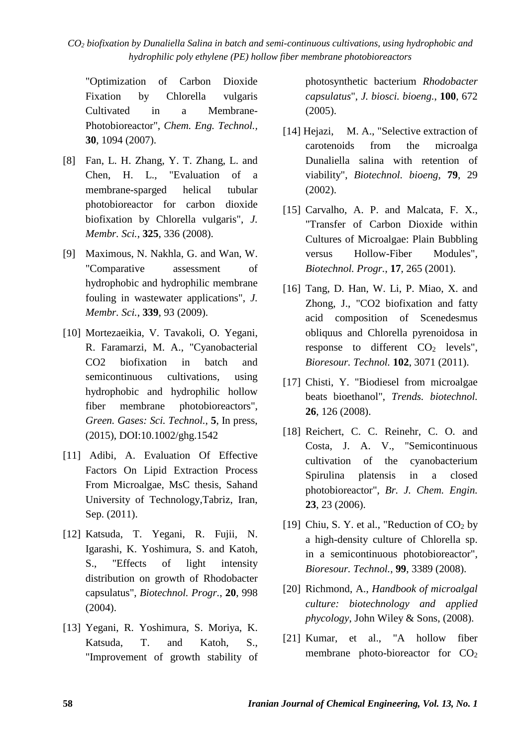"Optimization of Carbon Dioxide Fixation by Chlorella vulgaris Cultivated in a Membrane-Photobioreactor", *Chem. Eng. Technol.,* **30**, 1094 (2007).

- [8] Fan, L. H. Zhang, Y. T. Zhang, L. and Chen, H. L., "Evaluation of a membrane-sparged helical tubular photobioreactor for carbon dioxide biofixation by Chlorella vulgaris", *J. Membr. Sci.*, **325**, 336 (2008).
- [9] Maximous, N. Nakhla, G. and Wan, W. "Comparative assessment of hydrophobic and hydrophilic membrane fouling in wastewater applications", *J. Membr. Sci.*, **339**, 93 (2009).
- [10] Mortezaeikia, V. Tavakoli, O. Yegani, R. Faramarzi, M. A., "Cyanobacterial CO2 biofixation in batch and semicontinuous cultivations, using hydrophobic and hydrophilic hollow fiber membrane photobioreactors", *Green. Gases: Sci. Technol.*, **5**, In press, (2015), DOI:10.1002/ghg.1542
- [11] Adibi, A. Evaluation Of Effective Factors On Lipid Extraction Process From Microalgae, MsC thesis, Sahand University of Technology,Tabriz, Iran, Sep. (2011).
- [12] Katsuda, T. Yegani, R. Fujii, N. Igarashi, K. Yoshimura, S. and Katoh, S., "Effects of light intensity distribution on growth of Rhodobacter capsulatus", *Biotechnol. Progr.*, **20**, 998 (2004).
- [13] Yegani, R. Yoshimura, S. Moriya, K. Katsuda, T. and Katoh, S., "Improvement of growth stability of

photosynthetic bacterium *Rhodobacter capsulatus*", *J. biosci. bioeng.*, **100**, 672 (2005).

- [14] Hejazi, M. A., "Selective extraction of carotenoids from the microalga Dunaliella salina with retention of viability", *Biotechnol. bioeng*, **79**, 29 (2002).
- [15] Carvalho, A. P. and Malcata, F. X., "Transfer of Carbon Dioxide within Cultures of Microalgae: Plain Bubbling versus Hollow-Fiber Modules", *Biotechnol. Progr.*, **17**, 265 (2001).
- [16] Tang, D. Han, W. Li, P. Miao, X. and Zhong, J., "CO2 biofixation and fatty acid composition of Scenedesmus obliquus and Chlorella pyrenoidosa in response to different  $CO<sub>2</sub>$  levels", *Bioresour. Technol.* **102**, 3071 (2011).
- [17] Chisti, Y. "Biodiesel from microalgae beats bioethanol", *Trends. biotechnol.* **26**, 126 (2008).
- [18] Reichert, C. C. Reinehr, C. O. and Costa, J. A. V., "Semicontinuous cultivation of the cyanobacterium Spirulina platensis in a closed photobioreactor", *Br. J. Chem. Engin.* **23**, 23 (2006).
- [19] Chiu, S. Y. et al., "Reduction of  $CO<sub>2</sub>$  by a high-density culture of Chlorella sp. in a semicontinuous photobioreactor", *Bioresour. Technol.*, **99**, 3389 (2008).
- [20] Richmond, A., *Handbook of microalgal culture: biotechnology and applied phycology*, John Wiley & Sons, (2008).
- [21] Kumar, et al., "A hollow fiber membrane photo-bioreactor for CO<sub>2</sub>